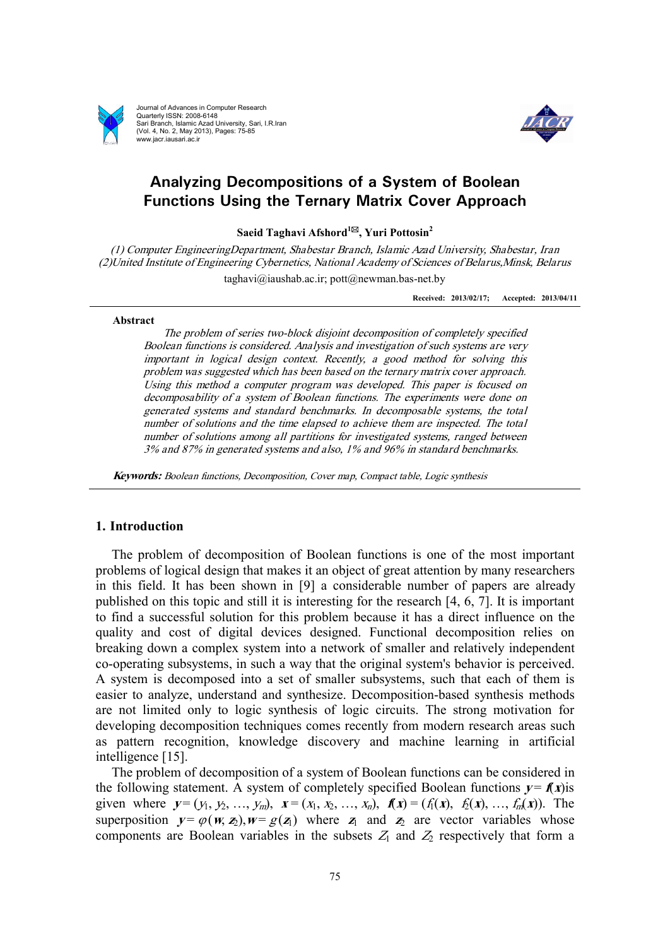

Journal of Advances in Computer Research Quarterly ISSN: 2008-6148 Sari Branch, Islamic Azad University, Sari, I.R.Iran (Vol. 4, No. 2, May 2013), Pages: 75-85 www.jacr.iausari.ac.ir



# **Analyzing Decompositions of a System of Boolean Functions Using the Ternary Matrix Cover Approach**

**Saeid Taghavi Afshord<sup>1</sup>\*, Yuri Pottosin<sup>2</sup>**

*(1) Computer EngineeringDepartment, Shabestar Branch, Islamic Azad University, Shabestar, Iran (2)United Institute of Engineering Cybernetics, National Academy of Sciences of Belarus,Minsk, Belarus*  taghavi@iaushab.ac.ir; pott@newman.bas-net.by

**Received: 2013/02/17; Accepted: 2013/04/11**

#### **Abstract**

*The problem of series two-block disjoint decomposition of completely specified Boolean functions is considered. Analysis and investigation of such systems are very important in logical design context. Recently, <sup>a</sup> good method for solving this problem was suggested which has been based on the ternary matrix cover approach. Using this method <sup>a</sup> computer program was developed. This paper is focused on decomposability of <sup>a</sup> system of Boolean functions. The experiments were done on generated systems and standard benchmarks. In decomposable systems, the total number of solutions and the time elapsed to achieve them are inspected. The total number of solutions among all partitions for investigated systems, ranged between 3% and 87% in generated systems and also, 1% and 96% in standard benchmarks.* 

*Keywords: Boolean functions, Decomposition, Cover map, Compact table, Logic synthesis*

## **1. Introduction**

The problem of decomposition of Boolean functions is one of the most important problems of logical design that makes it an object of great attention by many researchers in this field. It has been shown in [9] a considerable number of papers are already published on this topic and still it is interesting for the research [4, 6, 7]. It is important to find a successful solution for this problem because it has a direct influence on the quality and cost of digital devices designed. Functional decomposition relies on breaking down a complex system into a network of smaller and relatively independent co-operating subsystems, in such a way that the original system's behavior is perceived. A system is decomposed into a set of smaller subsystems, such that each of them is easier to analyze, understand and synthesize. Decomposition-based synthesis methods are not limited only to logic synthesis of logic circuits. The strong motivation for developing decomposition techniques comes recently from modern research areas such as pattern recognition, knowledge discovery and machine learning in artificial intelligence [15].

The problem of decomposition of a system of Boolean functions can be considered in the following statement. A system of completely specified Boolean functions  $y = f(x)$  is given where  $y = (y_1, y_2, ..., y_m)$ ,  $x = (x_1, x_2, ..., x_n)$ ,  $f(x) = (f_1(x), f_2(x), ..., f_m(x))$ . The superposition  $y = \varphi(w, z_1), w = g(z_1)$  where  $z_1$  and  $z_2$  are vector variables whose components are Boolean variables in the subsets  $Z_1$  and  $Z_2$  respectively that form a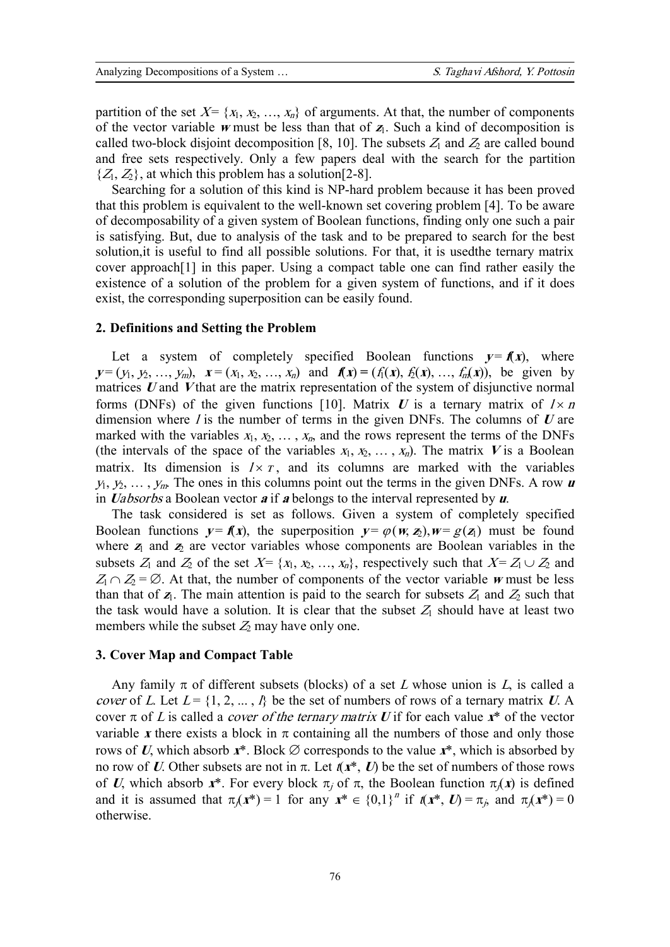partition of the set  $X = \{x_1, x_2, ..., x_n\}$  of arguments. At that, the number of components of the vector variable *w* must be less than that of  $z<sub>1</sub>$ . Such a kind of decomposition is called two-block disjoint decomposition [8, 10]. The subsets  $Z_1$  and  $Z_2$  are called bound and free sets respectively. Only a few papers deal with the search for the partition  $\{Z_1, Z_2\}$ , at which this problem has a solution [2-8].

Searching for a solution of this kind is NP-hard problem because it has been proved that this problem is equivalent to the well-known set covering problem [4]. To be aware of decomposability of a given system of Boolean functions, finding only one such a pair is satisfying. But, due to analysis of the task and to be prepared to search for the best solution,it is useful to find all possible solutions. For that, it is usedthe ternary matrix cover approach[1] in this paper. Using a compact table one can find rather easily the existence of a solution of the problem for a given system of functions, and if it does exist, the corresponding superposition can be easily found.

#### **2. Definitions and Setting the Problem**

Let a system of completely specified Boolean functions  $y = f(x)$ , where  $y=(y_1, y_2, ..., y_m), x=(x_1, x_2, ..., x_n)$  and  $f(x)=(f_1(x), f_2(x), ..., f_n(x)),$  be given by matrices *<sup>U</sup>* and *<sup>V</sup>* that are the matrix representation of the system of disjunctive normal forms (DNFs) of the given functions [10]. Matrix  $U$  is a ternary matrix of  $I \times n$ dimension where *<sup>l</sup>* is the number of terms in the given DNFs. The columns of *<sup>U</sup>* are marked with the variables  $x_1, x_2, \ldots, x_n$ , and the rows represent the terms of the DNFs (the intervals of the space of the variables  $x_1, x_2, \ldots, x_n$ ). The matrix *V* is a Boolean matrix. Its dimension is  $1 \times T$ , and its columns are marked with the variables  $y_1, y_2, \ldots, y_m$ . The ones in this columns point out the terms in the given DNFs. A row *u* in *Uabsorbs* a Boolean vector *a* if *a* belongs to the interval represented by *u*.

The task considered is set as follows. Given a system of completely specified Boolean functions  $y = f(x)$ , the superposition  $y = \varphi(w, z)$ ,  $w = g(z)$  must be found where  $z_1$  and  $z_2$  are vector variables whose components are Boolean variables in the subsets  $Z_1$  and  $Z_2$  of the set  $X = \{x_1, x_2, ..., x_n\}$ , respectively such that  $X = Z_1 \cup Z_2$  and  $Z_1 \cap Z_2 = \emptyset$ . At that, the number of components of the vector variable *w* must be less than that of  $z_1$ . The main attention is paid to the search for subsets  $Z_1$  and  $Z_2$  such that the task would have a solution. It is clear that the subset  $Z_1$  should have at least two members while the subset  $Z_2$  may have only one.

## **3. Cover Map and Compact Table**

Any family  $\pi$  of different subsets (blocks) of a set *L* whose union is *L*, is called a *cover* of *L*. Let  $L = \{1, 2, ..., l\}$  be the set of numbers of rows of a ternary matrix *U*. A cover  $\pi$  of *L* is called a *cover* of the *ternary* matrix *U* if for each value  $x^*$  of the vector variable x there exists a block in  $\pi$  containing all the numbers of those and only those rows of *U*, which absorb  $x^*$ . Block  $\emptyset$  corresponds to the value  $x^*$ , which is absorbed by no row of *U*. Other subsets are not in  $\pi$ . Let  $(x^*, U)$  be the set of numbers of those rows of *U*, which absorb  $x^*$ . For every block  $\pi_j$  of  $\pi$ , the Boolean function  $\pi_j(x)$  is defined and it is assumed that  $\pi_j(x^*) = 1$  for any  $x^* \in \{0,1\}^n$  if  $f(x^*, U) = \pi_j$ , and  $\pi_j(x^*) = 0$ otherwise.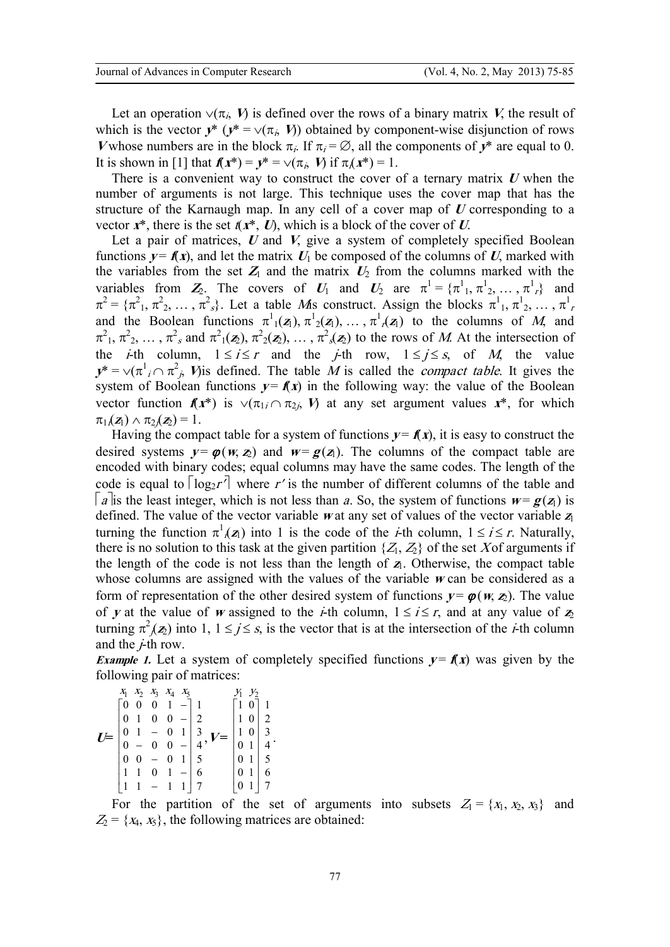Let an operation  $\vee (\pi_{i}, V)$  is defined over the rows of a binary matrix *V*, the result of which is the vector  $y^*$  ( $y^* = \vee (\pi_i, V)$ ) obtained by component-wise disjunction of rows *V* whose numbers are in the block  $\pi$ . If  $\pi$ <sub>*i*</sub> =  $\emptyset$ , all the components of  $y^*$  are equal to 0. It is shown in [1] that  $f(x^*) = y^* = \sqrt{\pi_i}$ , *V*) if  $\pi_i(x^*) = 1$ .

There is a convenient way to construct the cover of a ternary matrix *<sup>U</sup>* when the number of arguments is not large. This technique uses the cover map that has the structure of the Karnaugh map. In any cell of a cover map of *<sup>U</sup>* corresponding to a vector  $x^*$ , there is the set  $f(x^*, U)$ , which is a block of the cover of *U*.

Let a pair of matrices, *U* and *V*, give a system of completely specified Boolean functions  $y = f(x)$ , and let the matrix  $U_1$  be composed of the columns of U, marked with the variables from the set  $Z_1$  and the matrix  $U_2$  from the columns marked with the variables from  $Z_2$ . The covers of  $U_1$  and  $U_2$  are  $\pi^1 = {\pi^1_1, \pi^1_2, ..., \pi^1_r}$  and  $\pi^2 = {\pi^2_1, \pi^2_2, \ldots, \pi^2_s}$ . Let a table *M*is construct. Assign the blocks  $\pi^1_1, \pi^1_2, \ldots, \pi^1_r$ and the Boolean functions  $\pi^1_1(\mathbf{z}_1), \pi^1_2(\mathbf{z}_1), \ldots, \pi^1_n(\mathbf{z}_n)$  to the columns of *M*, and  $\pi^2$ <sub>1</sub>,  $\pi^2$ <sub>2</sub>, ...,  $\pi^2$ <sub>s</sub> and  $\pi^2$ <sub>1</sub>( $\mathbf{z}_2$ ),  $\pi^2$ <sub>2</sub>( $\mathbf{z}_2$ ), ...,  $\pi^2$ <sub>s</sub>( $\mathbf{z}_2$ ) to the rows of *M*. At the intersection of the *i*-th column,  $1 \le i \le r$  and the *j*-th row,  $1 \le j \le s$ , of *M*, the value  $y^* = \sqrt{\pi^2 / (\pi^2 / \pi^2)}$  *V*) *i*s defined. The table *M* is called the *compact table*. It gives the system of Boolean functions  $y = f(x)$  in the following way: the value of the Boolean vector function  $f(x^*)$  is  $\vee (\pi_{1i} \cap \pi_{2i}, V)$  at any set argument values  $x^*$ , for which  $\pi_1(\mathbf{z}_1) \wedge \pi_2(\mathbf{z}_2) = 1.$ 

Having the compact table for a system of functions  $y = f(x)$ , it is easy to construct the desired systems  $y = \varphi(w, z_1)$  and  $w = g(z_1)$ . The columns of the compact table are encoded with binary codes; equal columns may have the same codes. The length of the code is equal to  $\lceil \log_2 r^r \rceil$  where r' is the number of different columns of the table and  $|a|$  is the least integer, which is not less than *a*. So, the system of functions  $w = g(z_1)$  is defined. The value of the vector variable *<sup>w</sup>* at any set of values of the vector variable *<sup>z</sup>*<sup>1</sup> turning the function  $\pi^1(\mathbf{z}_1)$  into 1 is the code of the *i*-th column,  $1 \le i \le r$ . Naturally, there is no solution to this task at the given partition  $\{Z_1, Z_2\}$  of the set Xof arguments if the length of the code is not less than the length of  $z<sub>1</sub>$ . Otherwise, the compact table whose columns are assigned with the values of the variable *<sup>w</sup>* can be considered as a form of representation of the other desired system of functions  $y = \varphi(w, z_2)$ . The value of *y* at the value of *w* assigned to the *i*-th column,  $1 \le i \le r$ , and at any value of  $z_2$ turning  $\pi^2$  $(\mathbf{z}_2)$  into 1,  $1 \le j \le s$ , is the vector that is at the intersection of the *i*-th column and the *j*-th row.

*Example 1.* Let a system of completely specified functions  $y = f(x)$  was given by the following pair of matrices:

$$
U = \begin{bmatrix} x_1 & x_2 & x_3 & x_4 & x_5 \\ 0 & 0 & 0 & 1 & - \\ 0 & 1 & 0 & 0 & - \\ 0 & 1 & - & 0 & 1 \\ 0 & - & 0 & 0 & - \\ 0 & 0 & - & 0 & 1 \\ 0 & 0 & - & 0 & 1 \end{bmatrix} \begin{bmatrix} y_1 & y_2 \\ 1 & 0 \\ 1 & 0 \\ 0 & 1 \\ 0 & 1 \end{bmatrix} \begin{bmatrix} 1 \\ 2 \\ 3 \\ 4 \\ 5 \end{bmatrix}
$$

$$
U = \begin{bmatrix} 1 & 0 \\ 1 & 0 \\ 0 & 1 \\ 0 & 1 \\ 5 \end{bmatrix} \begin{bmatrix} 1 \\ 2 \\ 3 \\ 4 \\ 5 \end{bmatrix}
$$

For the partition of the set of arguments into subsets  $Z_1 = \{x_1, x_2, x_3\}$  and  $Z_2 = \{x_4, x_5\}$ , the following matrices are obtained: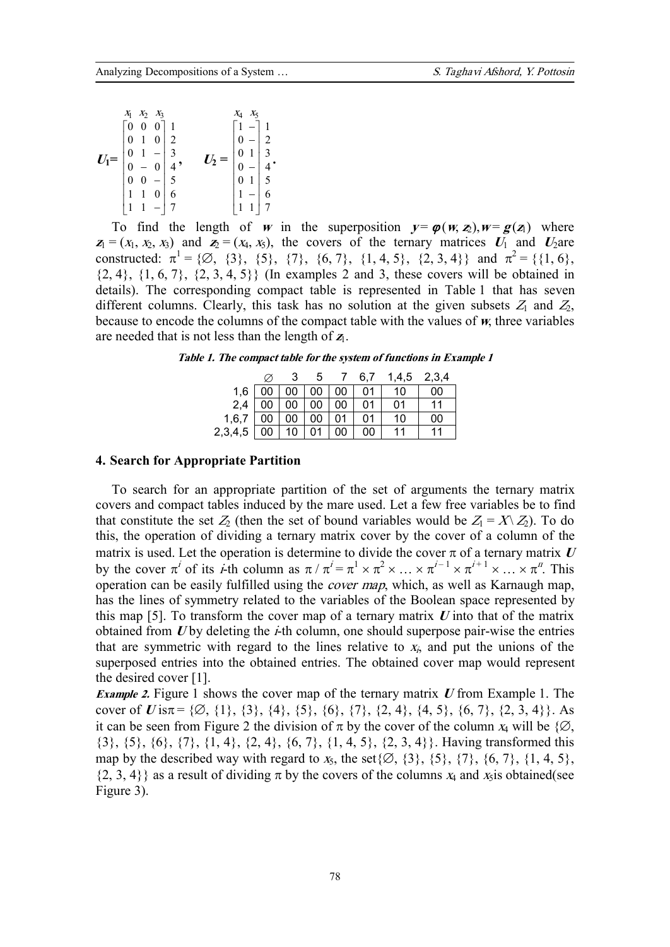|        | $X_1$ | $X_2$ $X_3$ |                                                                                                                                                                                                                                                                                                                                           | $X_4$ | $X_5$ |                                                                                                          |
|--------|-------|-------------|-------------------------------------------------------------------------------------------------------------------------------------------------------------------------------------------------------------------------------------------------------------------------------------------------------------------------------------------|-------|-------|----------------------------------------------------------------------------------------------------------|
|        |       |             |                                                                                                                                                                                                                                                                                                                                           |       |       |                                                                                                          |
|        |       |             |                                                                                                                                                                                                                                                                                                                                           |       |       |                                                                                                          |
| $U_1=$ |       |             |                                                                                                                                                                                                                                                                                                                                           |       |       |                                                                                                          |
|        |       |             |                                                                                                                                                                                                                                                                                                                                           |       |       |                                                                                                          |
|        |       |             | $\begin{bmatrix} 0 & 0 & 0 \\ 0 & 1 & 0 \\ 0 & 1 & - \\ 0 & 0 & 3 \\ 0 & 0 & 0 \\ 1 & 0 & 5 \\ 1 & 0 & 6 \\ 1 & 0 & - \\ 1 & 0 & 0 \\ 1 & 0 & 0 \\ 0 & 0 & 0 \\ 0 & 0 & 0 \\ 0 & 0 & 0 \\ 0 & 0 & 0 \\ 0 & 0 & 0 \\ 0 & 0 & 0 \\ 0 & 0 & 0 \\ 0 & 0 & 0 \\ 0 & 0 & 0 \\ 0 & 0 & 0 \\ 0 & 0 & 0 \\ 0 & 0 & 0 \\ 0 & 0 & 0 \\ 0 & 0 & 0 \\$ |       |       |                                                                                                          |
|        |       |             |                                                                                                                                                                                                                                                                                                                                           |       |       |                                                                                                          |
|        | 1     | $-17$       |                                                                                                                                                                                                                                                                                                                                           |       |       | $\begin{bmatrix} 1 & -1 \\ 0 & -1 \\ 0 & 1 \\ 0 & 1 \\ 0 & -1 \\ 0 & 1 \\ 1 & -6 \\ 1 & 1 \end{bmatrix}$ |

To find the length of *w* in the superposition  $y = \varphi(w, z_1), w = \varphi(z_1)$  where  $z_1 = (x_1, x_2, x_3)$  and  $z_2 = (x_4, x_5)$ , the covers of the ternary matrices  $U_1$  and  $U_2$ are constructed:  $\pi^1 = \{ \emptyset, \{3\}, \{5\}, \{7\}, \{6, 7\}, \{1, 4, 5\}, \{2, 3, 4\} \}$  and  $\pi^2 = \{ \{1, 6\}, \pi^2 \}$  $\{2, 4\}, \{1, 6, 7\}, \{2, 3, 4, 5\}\}$  (In examples 2 and 3, these covers will be obtained in details). The corresponding compact table is represented in Table 1 that has seven different columns. Clearly, this task has no solution at the given subsets  $Z_1$  and  $Z_2$ , because to encode the columns of the compact table with the values of *w*, three variables are needed that is not less than the length of *<sup>z</sup>*1.

*Table 1. The compact table for the system of functions in Example 1* 

|         |        |    | ხ  |                 | 6,7 | 1,4,5 | 2,3,4 |
|---------|--------|----|----|-----------------|-----|-------|-------|
| 1,6     | $00\,$ | 00 | 00 | $\overline{00}$ | 01  | 10    | 00    |
| 2,4     | 00     | 00 | 00 | 00              | 01  | 01    | 11    |
| 1,6,7   | 00     | 00 | 00 | 01              | 01  | 10    | 00    |
| 2,3,4,5 | 00     | 10 |    | 00              | 00  | 11    | 11    |

#### **4. Search for Appropriate Partition**

To search for an appropriate partition of the set of arguments the ternary matrix covers and compact tables induced by the mare used. Let a few free variables be to find that constitute the set  $Z_2$  (then the set of bound variables would be  $Z_1 = X \setminus Z_2$ ). To do this, the operation of dividing a ternary matrix cover by the cover of a column of the matrix is used. Let the operation is determine to divide the cover  $\pi$  of a ternary matrix  $U$ by the cover  $\pi^i$  of its *i*-th column as  $\pi / \pi^i = \pi^1 \times \pi^2 \times \dots \times \pi^{i-1} \times \pi^{i+1} \times \dots \times \pi^n$ . This operation can be easily fulfilled using the *cover map*, which, as well as Karnaugh map, has the lines of symmetry related to the variables of the Boolean space represented by this map [5]. To transform the cover map of a ternary matrix *<sup>U</sup>* into that of the matrix obtained from *U* by deleting the *i*-th column, one should superpose pair-wise the entries that are symmetric with regard to the lines relative to  $x<sub>i</sub>$ , and put the unions of the superposed entries into the obtained entries. The obtained cover map would represent the desired cover [1].

*Example 2.* Figure 1 shows the cover map of the ternary matrix *<sup>U</sup>* from Example 1. The cover of *U* is $\pi$  = { $\emptyset$ , {1}, {3}, {4}, {5}, {6}, {7}, {2, 4}, {4, 5}, {6, 7}, {2, 3, 4}}. As it can be seen from Figure 2 the division of  $\pi$  by the cover of the column  $x_4$  will be  $\{\emptyset,$ {3}, {5}, {6}, {7}, {1, 4}, {2, 4}, {6, 7}, {1, 4, 5}, {2, 3, 4}}. Having transformed this map by the described way with regard to  $x_5$ , the set $\{\emptyset, \{3\}, \{5\}, \{7\}, \{6, 7\}, \{1, 4, 5\},\$  $\{2, 3, 4\}$  as a result of dividing  $\pi$  by the covers of the columns  $x_4$  and  $x_5$  is obtained(see Figure 3).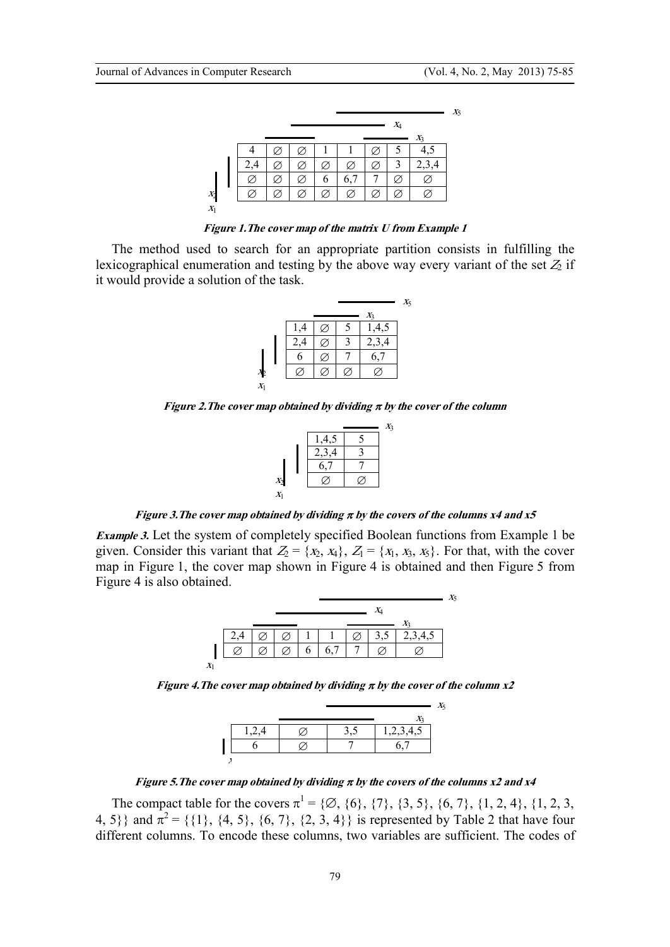|        |  |   |             | $X_4$ |                            |
|--------|--|---|-------------|-------|----------------------------|
|        |  |   |             |       | $X_3$                      |
|        |  |   |             |       |                            |
| $\sim$ |  |   |             | 3     | $\mathcal{L}, \mathcal{L}$ |
|        |  | O | $6^{\circ}$ |       |                            |
|        |  |   |             |       |                            |

*Figure 1.The cover map of the matrix U from Example 1* 

The method used to search for an appropriate partition consists in fulfilling the lexicographical enumeration and testing by the above way every variant of the set  $Z_2$  if it would provide a solution of the task.

|                    |     |  |       | $X_5$ |
|--------------------|-----|--|-------|-------|
|                    |     |  | $X_3$ |       |
|                    | .4  |  | ,4,5  |       |
|                    | 2,4 |  | 2,3,4 |       |
|                    | б   |  | 6,7   |       |
|                    |     |  |       |       |
| $\scriptstyle X_1$ |     |  |       |       |

*Figure 2.The cover map obtained by dividing <sup>p</sup> by the cover of the column* 

|                |       | $X_3$ |
|----------------|-------|-------|
|                | 1,4,5 |       |
|                | 2,3,4 |       |
|                | 6,7   |       |
| $\mathbf{x}_2$ |       |       |
| $X_1$          |       |       |

*Figure 3.The cover map obtained by dividing <sup>p</sup> by the covers of the columns x4 and x5* 

*Example* 3. Let the system of completely specified Boolean functions from Example 1 be given. Consider this variant that  $Z_2 = \{x_2, x_4\}$ ,  $Z_1 = \{x_1, x_3, x_5\}$ . For that, with the cover map in Figure 1, the cover map shown in Figure 4 is obtained and then Figure 5 from Figure 4 is also obtained.

|                        |  |  |  |  | Xς |
|------------------------|--|--|--|--|----|
|                        |  |  |  |  |    |
|                        |  |  |  |  |    |
|                        |  |  |  |  |    |
|                        |  |  |  |  |    |
| $\boldsymbol{\Lambda}$ |  |  |  |  |    |

*Figure 4.The cover map obtained by dividing <sup>p</sup> by the cover of the column x2* 

|  |  | X5 |
|--|--|----|
|  |  |    |
|  |  |    |
|  |  |    |
|  |  |    |

*Figure 5.The cover map obtained by dividing <sup>p</sup> by the covers of the columns x2 and x4* 

The compact table for the covers  $\pi^1 = \{ \emptyset, \{6\}, \{7\}, \{3, 5\}, \{6, 7\}, \{1, 2, 4\}, \{1, 2, 3,$ 4, 5} and  $\pi^2 = \{\{1\}, \{4, 5\}, \{6, 7\}, \{2, 3, 4\}\}\$ is represented by Table 2 that have four different columns. To encode these columns, two variables are sufficient. The codes of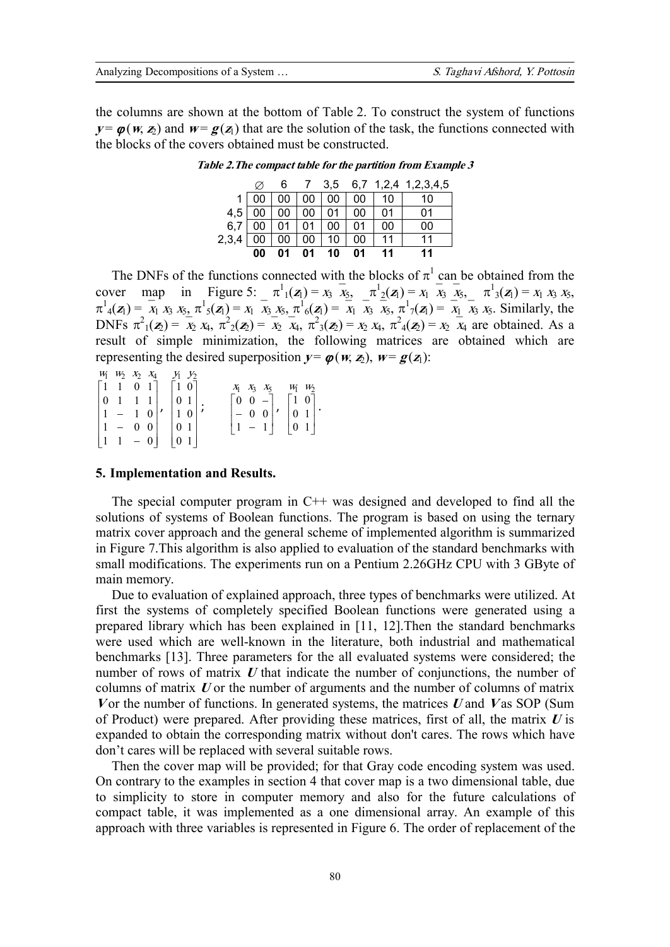the columns are shown at the bottom of Table 2. To construct the system of functions  $v = \varphi(w, z)$  and  $w = \varphi(z)$  that are the solution of the task, the functions connected with the blocks of the covers obtained must be constructed.

|            |    | 6. |                                |    |                 | 7 3,5 6,7 1,2,4 1,2,3,4,5 |
|------------|----|----|--------------------------------|----|-----------------|---------------------------|
|            | 00 |    | 00   00   00   00              |    | ∂1 10           | 10                        |
| $4,5$   00 |    |    | 00   00   01   00              |    | $\vert$ 01      | 01                        |
|            |    |    | $6,7$   00   01   01   00   01 |    | $\overline{00}$ | 00                        |
| 2,3,4      | 00 |    | 00   00   10   00              |    | l 11            | 11                        |
|            | 00 | 01 | $01 \quad 10$                  | 01 | 11              | 11                        |

Table 2. The compact table for the partition from Example 3

The DNFs of the functions connected with the blocks of  $\pi^1$  can be obtained from the cover map in Figure 5:  $\pi^1_1(z_1) = x_3 \overline{x_5}$   $\pi^1_2(z_1) = x_1 \overline{x_3} \overline{x_5}$   $\pi^1_3(z_1) = x_1 x_3 x_5$ ,  $\pi^1_4(z_1) = \overline{x_1}^1 x_3 x_5$ ,  $\pi^1_5(z_1) = x_1 \overline{x_3} x_5$ ,  $\pi^1_6(z_1) = \overline{x_1} \overline{x_3} \overline{x_5}$ ,  $\pi^1_7(z_1) = \overline{x_1} \overline{x_3} x_5$ . Similarly, the DNFs  $\pi^2_1(\mathbf{z}_2) = \overline{x}_2 x_4$ ,  $\pi^2_2(\mathbf{z}_2) = \overline{x}_2 \overline{x}_4$ ,  $\pi^2_3(\mathbf{z}_2) = x_2 x_4$ ,  $\pi^2_4(\mathbf{z}_2) = x_2 \overline{x}_4$  are obtained. As a result of simple minimization, the following matrices are obtained which are representing the desired superposition  $y = \varphi(w, z_1)$ ,  $w = \varphi(z_1)$ :

 $W_1$   $W_2$   $X_2$   $X_4$  $Y_1$   $Y_2$  $\begin{bmatrix} 1 & 1 & 0 & 1 \end{bmatrix}$  $\lceil 1 \ 0 \rceil$  $\begin{bmatrix} 1 & 1 & 0 & 1 \\ 0 & 1 & 1 & 1 \\ 1 & - & 1 & 0 \\ 1 & - & 0 & 0 \\ 1 & 1 & - & 0 \end{bmatrix}, \begin{bmatrix} 1 & 0 \\ 0 & 1 \\ 1 & 0 \\ 0 & 1 \\ 0 & 1 \end{bmatrix}; \qquad \begin{bmatrix} 0 & 0 & - \\ 0 & 0 & - \\ - & 0 & 0 \\ 1 & - & 1 \end{bmatrix}, \begin{bmatrix} 1 & 0 \\ 0 & 1 \\ 0 & 1 \\ 0 & 1 \end{bmatrix}.$ 

## 5. Implementation and Results.

The special computer program in  $C++$  was designed and developed to find all the solutions of systems of Boolean functions. The program is based on using the ternary matrix cover approach and the general scheme of implemented algorithm is summarized in Figure 7. This algorithm is also applied to evaluation of the standard benchmarks with small modifications. The experiments run on a Pentium 2.26GHz CPU with 3 GByte of main memory.

Due to evaluation of explained approach, three types of benchmarks were utilized. At first the systems of completely specified Boolean functions were generated using a prepared library which has been explained in [11, 12]. Then the standard benchmarks were used which are well-known in the literature, both industrial and mathematical benchmarks [13]. Three parameters for the all evaluated systems were considered; the number of rows of matrix  $U$  that indicate the number of conjunctions, the number of columns of matrix  $U$  or the number of arguments and the number of columns of matrix Vor the number of functions. In generated systems, the matrices U and V as SOP (Sum of Product) were prepared. After providing these matrices, first of all, the matrix  $U$  is expanded to obtain the corresponding matrix without don't cares. The rows which have don't cares will be replaced with several suitable rows.

Then the cover map will be provided; for that Gray code encoding system was used. On contrary to the examples in section 4 that cover map is a two dimensional table, due to simplicity to store in computer memory and also for the future calculations of compact table, it was implemented as a one dimensional array. An example of this approach with three variables is represented in Figure 6. The order of replacement of the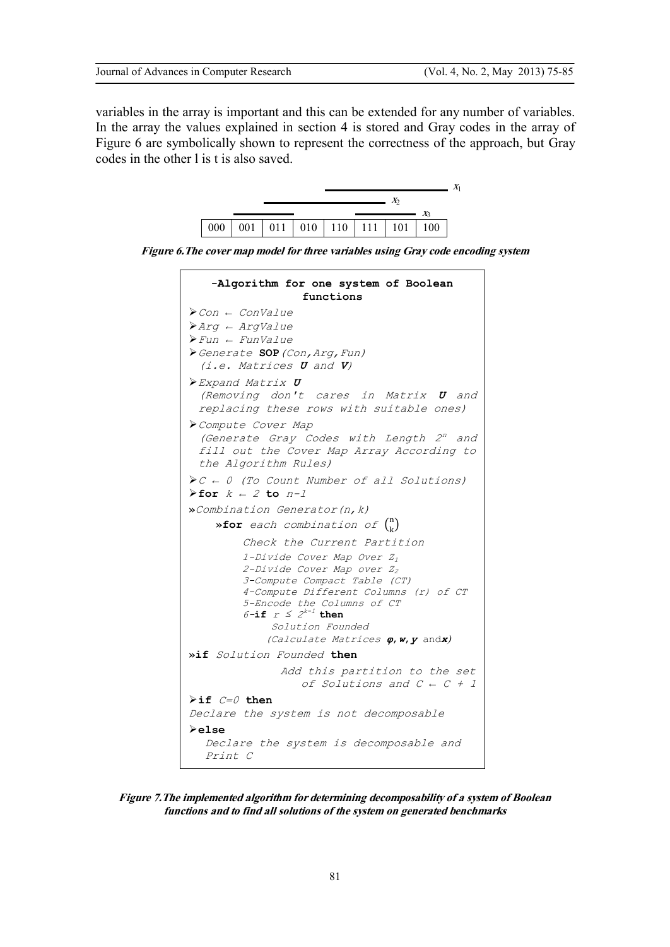variables in the array is important and this can be extended for any number of variables. In the array the values explained in section 4 is stored and Gray codes in the array of Figure 6 are symbolically shown to represent the correctness of the approach, but Gray codes in the other l is t is also saved.



*Figure 6.The cover map model for three variables using Gray code encoding system* 

| -Algorithm for one system of Boolean<br>functions                                                                                                                                                                                                                                      |
|----------------------------------------------------------------------------------------------------------------------------------------------------------------------------------------------------------------------------------------------------------------------------------------|
| $\blacktriangleright$ Con $\leftarrow$ ConValue<br>$\blacktriangleright$ Argvalue<br>$\triangleright$ Fun $\leftarrow$ FunValue<br>> Generate SOP (Con, Arg, Fun)<br>(i.e. Matrices <b>U</b> and <b>V</b> )                                                                            |
| $\triangleright$ Expand Matrix $U$<br>(Removing don't cares in Matrix <b>U</b> and<br>replacing these rows with suitable ones)                                                                                                                                                         |
| Compute Cover Map<br>(Generate Gray Codes with Length 2 <sup>n</sup> and<br>fill out the Cover Map Array According to<br>the Algorithm Rules)                                                                                                                                          |
| $\triangleright$ C $\leftarrow$ 0 (To Count Number of all Solutions)<br>For $k - 2$ to $n-1$                                                                                                                                                                                           |
| » Combination Generator (n, k)<br>»for each combination of $\binom{n}{k}$                                                                                                                                                                                                              |
| Check the Current Partition                                                                                                                                                                                                                                                            |
| 1-Divide Cover Map Over $Z_1$<br>2-Divide Cover Map over Z <sub>2</sub><br>3-Compute Compact Table (CT)<br>4-Compute Different Columns (r) of CT<br>5-Encode the Columns of CT<br>$6$ -if $r \leq 2^{k-1}$ then<br>Solution Founded<br>(Calculate Matrices $\varphi$ , $w$ , $y$ andx) |
| »if Solution Founded then                                                                                                                                                                                                                                                              |
| Add this partition to the set<br>of Solutions and $C \leftarrow C + 1$                                                                                                                                                                                                                 |
| $\triangleright$ if $C = 0$ then<br>Declare the system is not decomposable<br>$\blacktriangleright$ else<br>Declare the system is decomposable and<br>Print C                                                                                                                          |

*Figure 7.The implemented algorithm for determining decomposability of a system of Boolean functions and to find all solutions of the system on generated benchmarks*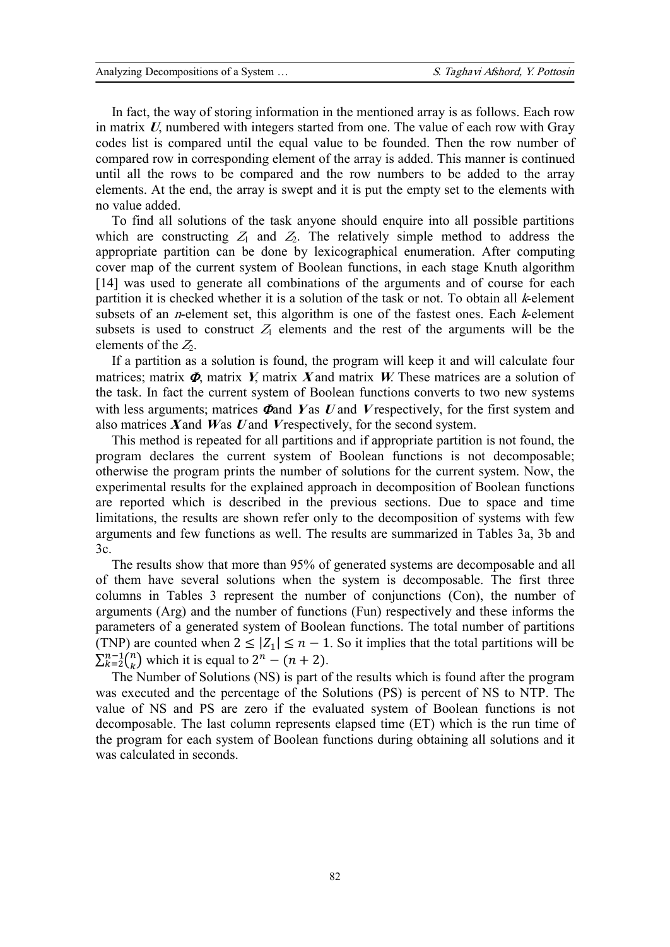In fact, the way of storing information in the mentioned array is as follows. Each row in matrix *U*, numbered with integers started from one. The value of each row with Gray codes list is compared until the equal value to be founded. Then the row number of compared row in corresponding element of the array is added. This manner is continued until all the rows to be compared and the row numbers to be added to the array elements. At the end, the array is swept and it is put the empty set to the elements with no value added.

To find all solutions of the task anyone should enquire into all possible partitions which are constructing  $Z_1$  and  $Z_2$ . The relatively simple method to address the appropriate partition can be done by lexicographical enumeration. After computing cover map of the current system of Boolean functions, in each stage Knuth algorithm [14] was used to generate all combinations of the arguments and of course for each partition it is checked whether it is a solution of the task or not. To obtain all *k*-element subsets of an *n*-element set, this algorithm is one of the fastest ones. Each *k*-element subsets is used to construct  $Z_1$  elements and the rest of the arguments will be the elements of the *<sup>Z</sup>*2.

If a partition as a solution is found, the program will keep it and will calculate four matrices; matrix  $\Phi$ , matrix *Y*, matrix *X* and matrix *W*. These matrices are a solution of the task. In fact the current system of Boolean functions converts to two new systems with less arguments; matrices  $\Phi$ and *Y* as *U* and *V* respectively, for the first system and also matrices *X* and *W* as *U* and *<sup>V</sup>* respectively, for the second system.

This method is repeated for all partitions and if appropriate partition is not found, the program declares the current system of Boolean functions is not decomposable; otherwise the program prints the number of solutions for the current system. Now, the experimental results for the explained approach in decomposition of Boolean functions are reported which is described in the previous sections. Due to space and time limitations, the results are shown refer only to the decomposition of systems with few arguments and few functions as well. The results are summarized in Tables 3a, 3b and 3c.

The results show that more than 95% of generated systems are decomposable and all of them have several solutions when the system is decomposable. The first three columns in Tables 3 represent the number of conjunctions (Con), the number of arguments (Arg) and the number of functions (Fun) respectively and these informs the parameters of a generated system of Boolean functions. The total number of partitions (TNP) are counted when  $2 \leq |Z_1| \leq n - 1$ . So it implies that the total partitions will be  $\sum_{k=2}^{n-1} {n \choose k}$  $\binom{n-1}{k-2}$  which it is equal to  $2^n - (n+2)$ .

The Number of Solutions (NS) is part of the results which is found after the program was executed and the percentage of the Solutions (PS) is percent of NS to NTP. The value of NS and PS are zero if the evaluated system of Boolean functions is not decomposable. The last column represents elapsed time (ET) which is the run time of the program for each system of Boolean functions during obtaining all solutions and it was calculated in seconds.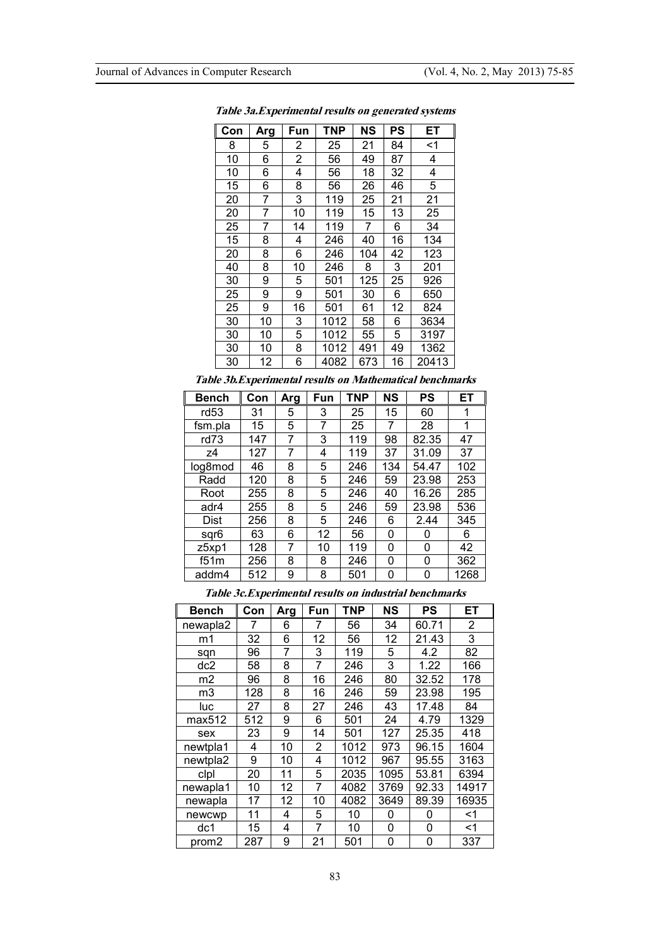| Con | Arg | Fun | <b>TNP</b> | NS  | PS | ET    |
|-----|-----|-----|------------|-----|----|-------|
| 8   | 5   | 2   | 25         | 21  | 84 | <1    |
| 10  | 6   | 2   | 56         | 49  | 87 | 4     |
| 10  | 6   | 4   | 56         | 18  | 32 | 4     |
| 15  | 6   | 8   | 56         | 26  | 46 | 5     |
| 20  | 7   | 3   | 119        | 25  | 21 | 21    |
| 20  | 7   | 10  | 119        | 15  | 13 | 25    |
| 25  | 7   | 14  | 119        | 7   | 6  | 34    |
| 15  | 8   | 4   | 246        | 40  | 16 | 134   |
| 20  | 8   | 6   | 246        | 104 | 42 | 123   |
| 40  | 8   | 10  | 246        | 8   | 3  | 201   |
| 30  | 9   | 5   | 501        | 125 | 25 | 926   |
| 25  | 9   | 9   | 501        | 30  | 6  | 650   |
| 25  | 9   | 16  | 501        | 61  | 12 | 824   |
| 30  | 10  | 3   | 1012       | 58  | 6  | 3634  |
| 30  | 10  | 5   | 1012       | 55  | 5  | 3197  |
| 30  | 10  | 8   | 1012       | 491 | 49 | 1362  |
| 30  | 12  | 6   | 4082       | 673 | 16 | 20413 |

*Table 3a.Experimental results on generated systems* 

*Table 3b.Experimental results on Mathematical benchmarks* 

| <b>Bench</b>     | Con | Arg | Fun | TNP | NS  | <b>PS</b> | ЕT   |
|------------------|-----|-----|-----|-----|-----|-----------|------|
| rd <sub>53</sub> | 31  | 5   | 3   | 25  | 15  | 60        | 1    |
| fsm.pla          | 15  | 5   | 7   | 25  | 7   | 28        | 1    |
| rd73             | 147 | 7   | 3   | 119 | 98  | 82.35     | 47   |
| z4               | 127 | 7   | 4   | 119 | 37  | 31.09     | 37   |
| log8mod          | 46  | 8   | 5   | 246 | 134 | 54.47     | 102  |
| Radd             | 120 | 8   | 5   | 246 | 59  | 23.98     | 253  |
| Root             | 255 | 8   | 5   | 246 | 40  | 16.26     | 285  |
| adr4             | 255 | 8   | 5   | 246 | 59  | 23.98     | 536  |
| Dist             | 256 | 8   | 5   | 246 | 6   | 2.44      | 345  |
| sgr6             | 63  | 6   | 12  | 56  | 0   | 0         | 6    |
| z5xp1            | 128 | 7   | 10  | 119 | 0   | 0         | 42   |
| f51m             | 256 | 8   | 8   | 246 | 0   | 0         | 362  |
| addm4            | 512 | 9   | 8   | 501 | 0   | 0         | 1268 |

| Bench    | Con |     | Fun | <b>TNP</b> | NS   | <b>PS</b> | ET             |
|----------|-----|-----|-----|------------|------|-----------|----------------|
|          |     | Arg |     |            |      |           |                |
| newapla2 | 7   | 6   | 7   | 56         | 34   | 60.71     | $\overline{2}$ |
| m1       | 32  | 6   | 12  | 56         | 12   | 21.43     | 3              |
| sqn      | 96  | 7   | 3   | 119        | 5    | 4.2       | 82             |
| dc2      | 58  | 8   | 7   | 246        | 3    | 1.22      | 166            |
| m2       | 96  | 8   | 16  | 246        | 80   | 32.52     | 178            |
| m3       | 128 | 8   | 16  | 246        | 59   | 23.98     | 195            |
| luc      | 27  | 8   | 27  | 246        | 43   | 17.48     | 84             |
| max512   | 512 | 9   | 6   | 501        | 24   | 4.79      | 1329           |
| sex      | 23  | 9   | 14  | 501        | 127  | 25.35     | 418            |
| newtpla1 | 4   | 10  | 2   | 1012       | 973  | 96.15     | 1604           |
| newtpla2 | 9   | 10  | 4   | 1012       | 967  | 95.55     | 3163           |
| clpl     | 20  | 11  | 5   | 2035       | 1095 | 53.81     | 6394           |
| newapla1 | 10  | 12  | 7   | 4082       | 3769 | 92.33     | 14917          |
| newapla  | 17  | 12  | 10  | 4082       | 3649 | 89.39     | 16935          |
| newcwp   | 11  | 4   | 5   | 10         | 0    | 0         | <1             |
| dc1      | 15  | 4   | 7   | 10         | 0    | 0         | <1             |
| prom2    | 287 | 9   | 21  | 501        | 0    | 0         | 337            |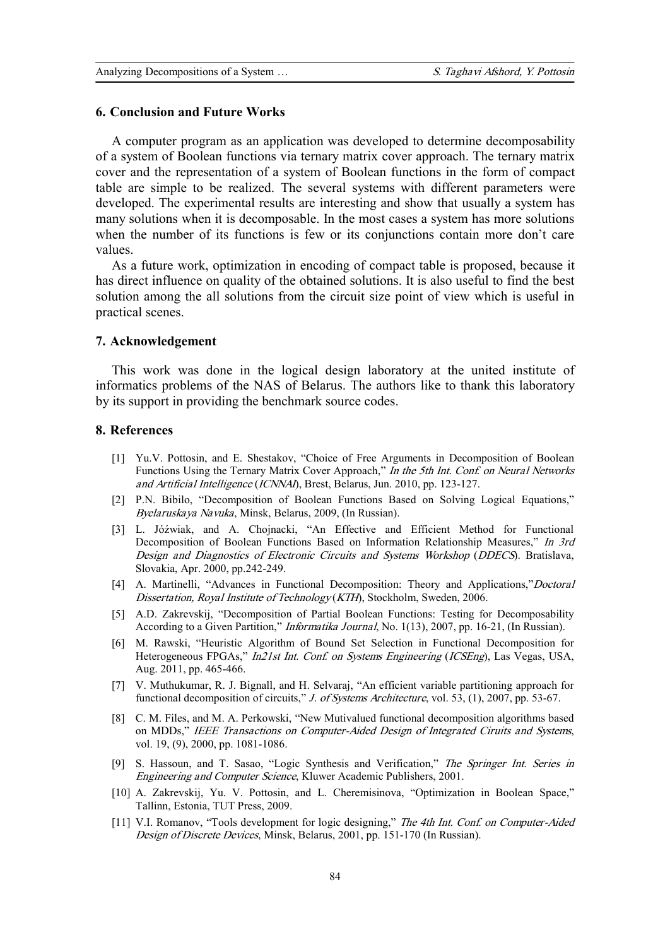### **6. Conclusion and Future Works**

A computer program as an application was developed to determine decomposability of a system of Boolean functions via ternary matrix cover approach. The ternary matrix cover and the representation of a system of Boolean functions in the form of compact table are simple to be realized. The several systems with different parameters were developed. The experimental results are interesting and show that usually a system has many solutions when it is decomposable. In the most cases a system has more solutions when the number of its functions is few or its conjunctions contain more don't care values.

As a future work, optimization in encoding of compact table is proposed, because it has direct influence on quality of the obtained solutions. It is also useful to find the best solution among the all solutions from the circuit size point of view which is useful in practical scenes.

#### **7. Acknowledgement**

This work was done in the logical design laboratory at the united institute of informatics problems of the NAS of Belarus. The authors like to thank this laboratory by its support in providing the benchmark source codes.

## **8. References**

- [1] Yu.V. Pottosin, and E. Shestakov, "Choice of Free Arguments in Decomposition of Boolean Functions Using the Ternary Matrix Cover Approach," *In the 5th Int. Conf. on Neural Networks and Artificial Intelligence* (*ICNNAI*), Brest, Belarus, Jun. 2010, pp. 123-127.
- [2] P.N. Bibilo, "Decomposition of Boolean Functions Based on Solving Logical Equations," *Byelaruskaya Navuka*, Minsk, Belarus, 2009, (In Russian).
- [3] L. Jóźwiak, and A. Chojnacki, "An Effective and Efficient Method for Functional Decomposition of Boolean Functions Based on Information Relationship Measures," *In 3rd Design and Diagnostics of Electronic Circuits and Systems Workshop* (*DDECS*). Bratislava, Slovakia, Apr. 2000, pp.242-249.
- [4] A. Martinelli, "Advances in Functional Decomposition: Theory and Applications,"*Doctoral Dissertation, Royal Institute of Technology* (*KTH*), Stockholm, Sweden, 2006.
- [5] A.D. Zakrevskij, "Decomposition of Partial Boolean Functions: Testing for Decomposability According to a Given Partition," *Informatika Journal*, No. 1(13), 2007, pp. 16-21, (In Russian).
- [6] M. Rawski, "Heuristic Algorithm of Bound Set Selection in Functional Decomposition for Heterogeneous FPGAs," *In21st Int. Conf. on Systems Engineering* (*ICSEng*), Las Vegas, USA, Aug. 2011, pp. 465-466.
- [7] V. Muthukumar, R. J. Bignall, and H. Selvaraj, "An efficient variable partitioning approach for functional decomposition of circuits," *J. of Systems Architecture*, vol. 53, (1), 2007, pp. 53-67.
- [8] C. M. Files, and M. A. Perkowski, "New Mutivalued functional decomposition algorithms based on MDDs," *IEEE Transactions on Computer-Aided Design of Integrated Ciruits and Systems*, vol. 19, (9), 2000, pp. 1081-1086.
- [9] S. Hassoun, and T. Sasao, "Logic Synthesis and Verification," *The Springer Int. Series in Engineering and Computer Science*, Kluwer Academic Publishers, 2001.
- [10] A. Zakrevskij, Yu. V. Pottosin, and L. Cheremisinova, "Optimization in Boolean Space," Tallinn, Estonia, TUT Press, 2009.
- [11] V.I. Romanov, "Tools development for logic designing," *The 4th Int. Conf. on Computer-Aided Design of Discrete Devices*, Minsk, Belarus, 2001, pp. 151-170 (In Russian).